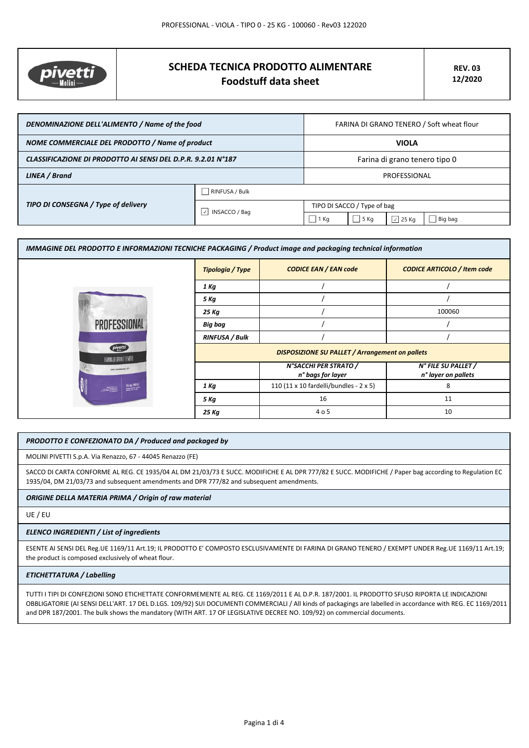

# **SCHEDA TECNICA PRODOTTO ALIMENTARE Foodstuff data sheet**

| DENOMINAZIONE DELL'ALIMENTO / Name of the food               |                            | FARINA DI GRANO TENERO / Soft wheat flour |        |                   |
|--------------------------------------------------------------|----------------------------|-------------------------------------------|--------|-------------------|
| NOME COMMERCIALE DEL PRODOTTO / Name of product              |                            | <b>VIOLA</b>                              |        |                   |
| CLASSIFICAZIONE DI PRODOTTO AI SENSI DEL D.P.R. 9.2.01 N°187 |                            | Farina di grano tenero tipo 0             |        |                   |
| LINEA / Brand                                                |                            | PROFESSIONAL                              |        |                   |
| TIPO DI CONSEGNA / Type of delivery                          | RINFUSA / Bulk             |                                           |        |                   |
|                                                              | $\sqrt{}$<br>INSACCO / Bag | TIPO DI SACCO / Type of bag               |        |                   |
|                                                              |                            | 1 Kg                                      | $5$ Kg | $ \vee $<br>25 Kg |

| IMMAGINE DEL PRODOTTO E INFORMAZIONI TECNICHE PACKAGING / Product image and packaging technical information |                         |                                                        |                                    |  |  |
|-------------------------------------------------------------------------------------------------------------|-------------------------|--------------------------------------------------------|------------------------------------|--|--|
|                                                                                                             | <b>Tipologia / Type</b> | <b>CODICE EAN / EAN code</b>                           | <b>CODICE ARTICOLO / Item code</b> |  |  |
|                                                                                                             | 1 Kg                    |                                                        |                                    |  |  |
|                                                                                                             | 5 Kg                    |                                                        |                                    |  |  |
|                                                                                                             | 25 Kg                   |                                                        | 100060                             |  |  |
| <b>PROFESSIONAL</b>                                                                                         | <b>Big bag</b>          |                                                        |                                    |  |  |
|                                                                                                             | <b>RINFUSA / Bulk</b>   |                                                        |                                    |  |  |
| pivetti<br>FARINA DI GRANO TENERO                                                                           |                         | <b>DISPOSIZIONE SU PALLET / Arrangement on pallets</b> |                                    |  |  |
| SAPER FAIR FARINA DAL 1875                                                                                  |                         | N°SACCHI PER STRATO /                                  | N° FILE SU PALLET /                |  |  |
|                                                                                                             |                         | n° bags for layer                                      | n° layer on pallets                |  |  |
| 25 kg (55%)                                                                                                 | 1 Kg                    | 110 (11 x 10 fardelli/bundles - 2 x 5)                 | 8                                  |  |  |
|                                                                                                             | 5 Kg                    | 16                                                     | 11                                 |  |  |
|                                                                                                             | 25 Kg                   | 405                                                    | 10                                 |  |  |

## *PRODOTTO E CONFEZIONATO DA / Produced and packaged by*

MOLINI PIVETTI S.p.A. Via Renazzo, 67 - 44045 Renazzo (FE)

SACCO DI CARTA CONFORME AL REG. CE 1935/04 AL DM 21/03/73 E SUCC. MODIFICHE E AL DPR 777/82 E SUCC. MODIFICHE / Paper bag according to Regulation EC 1935/04, DM 21/03/73 and subsequent amendments and DPR 777/82 and subsequent amendments.

## *ORIGINE DELLA MATERIA PRIMA / Origin of raw material*

UE / EU

#### *ELENCO INGREDIENTI / List of ingredients*

ESENTE AI SENSI DEL Reg.UE 1169/11 Art.19; IL PRODOTTO E' COMPOSTO ESCLUSIVAMENTE DI FARINA DI GRANO TENERO / EXEMPT UNDER Reg.UE 1169/11 Art.19; the product is composed exclusively of wheat flour.

#### *ETICHETTATURA / Labelling*

TUTTI I TIPI DI CONFEZIONI SONO ETICHETTATE CONFORMEMENTE AL REG. CE 1169/2011 E AL D.P.R. 187/2001. IL PRODOTTO SFUSO RIPORTA LE INDICAZIONI OBBLIGATORIE (AI SENSI DELL'ART. 17 DEL D.LGS. 109/92) SUI DOCUMENTI COMMERCIALI / All kinds of packagings are labelled in accordance with REG. EC 1169/2011 and DPR 187/2001. The bulk shows the mandatory (WITH ART. 17 OF LEGISLATIVE DECREE NO. 109/92) on commercial documents.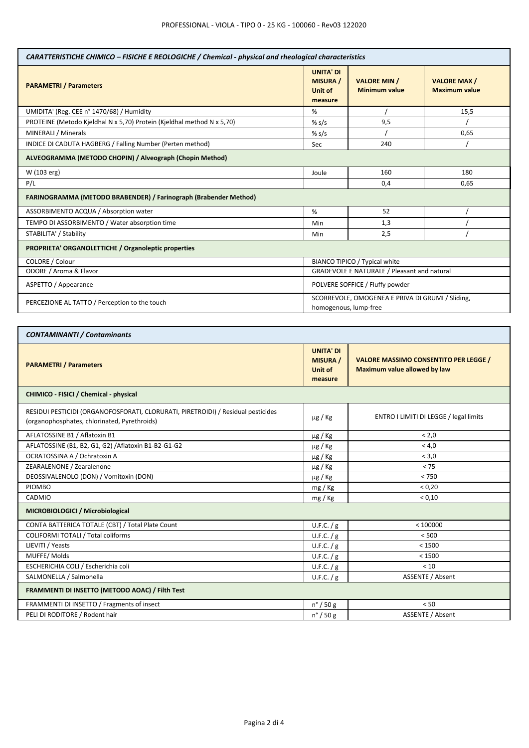| CARATTERISTICHE CHIMICO - FISICHE E REOLOGICHE / Chemical - physical and rheological characteristics |                                                                           |                                             |                                            |  |
|------------------------------------------------------------------------------------------------------|---------------------------------------------------------------------------|---------------------------------------------|--------------------------------------------|--|
| <b>PARAMETRI / Parameters</b>                                                                        | <b>UNITA' DI</b><br><b>MISURA /</b><br>Unit of<br>measure                 | <b>VALORE MIN /</b><br><b>Minimum value</b> | <b>VALORE MAX/</b><br><b>Maximum value</b> |  |
| UMIDITA' (Reg. CEE n° 1470/68) / Humidity                                                            | ℅                                                                         |                                             | 15,5                                       |  |
| PROTEINE (Metodo Kjeldhal N x 5,70) Protein (Kjeldhal method N x 5,70)                               | % s/s                                                                     | 9,5                                         |                                            |  |
| MINERALI / Minerals                                                                                  | % $s/s$                                                                   |                                             | 0,65                                       |  |
| INDICE DI CADUTA HAGBERG / Falling Number (Perten method)                                            | <b>Sec</b>                                                                | 240                                         |                                            |  |
| ALVEOGRAMMA (METODO CHOPIN) / Alveograph (Chopin Method)                                             |                                                                           |                                             |                                            |  |
| W (103 erg)                                                                                          | Joule                                                                     | 160                                         | 180                                        |  |
| P/L                                                                                                  |                                                                           | 0,4                                         | 0,65                                       |  |
| FARINOGRAMMA (METODO BRABENDER) / Farinograph (Brabender Method)                                     |                                                                           |                                             |                                            |  |
| ASSORBIMENTO ACQUA / Absorption water                                                                | %                                                                         | 52                                          |                                            |  |
| TEMPO DI ASSORBIMENTO / Water absorption time                                                        | Min                                                                       | 1,3                                         |                                            |  |
| STABILITA' / Stability                                                                               | Min                                                                       | 2,5                                         |                                            |  |
| PROPRIETA' ORGANOLETTICHE / Organoleptic properties                                                  |                                                                           |                                             |                                            |  |
| COLORE / Colour                                                                                      | BIANCO TIPICO / Typical white                                             |                                             |                                            |  |
| ODORE / Aroma & Flavor                                                                               | GRADEVOLE E NATURALE / Pleasant and natural                               |                                             |                                            |  |
| ASPETTO / Appearance                                                                                 | POLVERE SOFFICE / Fluffy powder                                           |                                             |                                            |  |
| PERCEZIONE AL TATTO / Perception to the touch                                                        | SCORREVOLE, OMOGENEA E PRIVA DI GRUMI / Sliding,<br>homogenous, lump-free |                                             |                                            |  |
|                                                                                                      |                                                                           |                                             |                                            |  |

٦

| <b>CONTAMINANTI / Contaminants</b>                                                                                               |                                                           |                                                                              |  |
|----------------------------------------------------------------------------------------------------------------------------------|-----------------------------------------------------------|------------------------------------------------------------------------------|--|
| <b>PARAMETRI / Parameters</b>                                                                                                    | <b>UNITA' DI</b><br><b>MISURA /</b><br>Unit of<br>measure | <b>VALORE MASSIMO CONSENTITO PER LEGGE /</b><br>Maximum value allowed by law |  |
| CHIMICO - FISICI / Chemical - physical                                                                                           |                                                           |                                                                              |  |
| RESIDUI PESTICIDI (ORGANOFOSFORATI, CLORURATI, PIRETROIDI) / Residual pesticides<br>(organophosphates, chlorinated, Pyrethroids) | $\mu$ g / Kg                                              | ENTRO I LIMITI DI LEGGE / legal limits                                       |  |
| AFLATOSSINE B1 / Aflatoxin B1                                                                                                    | µg / Kg                                                   | < 2.0                                                                        |  |
| AFLATOSSINE (B1, B2, G1, G2) / Aflatoxin B1-B2-G1-G2                                                                             | $\mu$ g / Kg                                              | < 4.0                                                                        |  |
| OCRATOSSINA A / Ochratoxin A                                                                                                     | $\mu$ g / Kg                                              | < 3.0                                                                        |  |
| ZEARALENONE / Zearalenone                                                                                                        | $\mu$ g / Kg                                              | < 75                                                                         |  |
| DEOSSIVALENOLO (DON) / Vomitoxin (DON)                                                                                           | $\mu$ g / Kg                                              | < 750                                                                        |  |
| <b>PIOMBO</b>                                                                                                                    | mg / Kg                                                   | < 0.20                                                                       |  |
| CADMIO                                                                                                                           | mg / kg                                                   | < 0.10                                                                       |  |
| MICROBIOLOGICI / Microbiological                                                                                                 |                                                           |                                                                              |  |
| CONTA BATTERICA TOTALE (CBT) / Total Plate Count                                                                                 | U.F.C. / g                                                | < 100000                                                                     |  |
| <b>COLIFORMI TOTALI / Total coliforms</b>                                                                                        | U.F.C. / g                                                | < 500                                                                        |  |
| LIEVITI / Yeasts                                                                                                                 | U.F.C. / g                                                | < 1500                                                                       |  |
| MUFFE/Molds                                                                                                                      | U.F.C. / g                                                | < 1500                                                                       |  |
| ESCHERICHIA COLI / Escherichia coli                                                                                              | U.F.C. / g                                                | < 10                                                                         |  |
| SALMONELLA / Salmonella                                                                                                          | U.F.C. / g                                                | <b>ASSENTE / Absent</b>                                                      |  |
| FRAMMENTI DI INSETTO (METODO AOAC) / Filth Test                                                                                  |                                                           |                                                                              |  |
| FRAMMENTI DI INSETTO / Fragments of insect                                                                                       | $n^{\circ}$ / 50 g                                        | < 50                                                                         |  |
| PELI DI RODITORE / Rodent hair                                                                                                   | n° / 50 g                                                 | <b>ASSENTE / Absent</b>                                                      |  |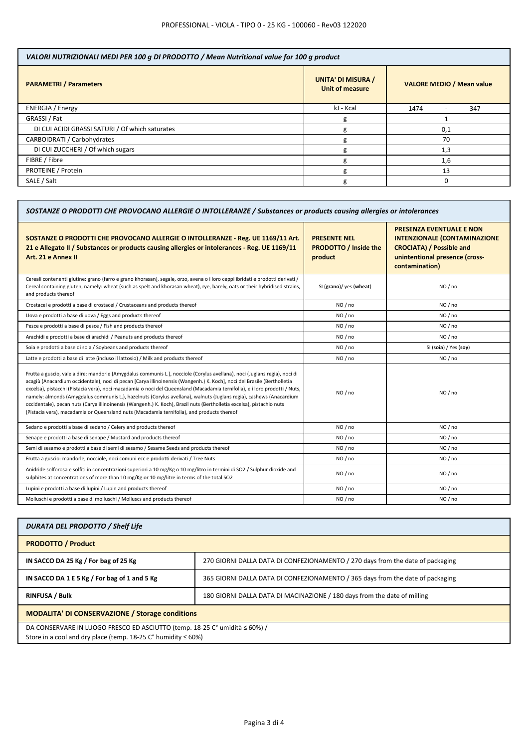| VALORI NUTRIZIONALI MEDI PER 100 g DI PRODOTTO / Mean Nutritional value for 100 g product |                                                     |                                         |  |
|-------------------------------------------------------------------------------------------|-----------------------------------------------------|-----------------------------------------|--|
| <b>PARAMETRI / Parameters</b>                                                             | <b>UNITA' DI MISURA /</b><br><b>Unit of measure</b> | <b>VALORE MEDIO / Mean value</b>        |  |
| <b>ENERGIA</b> / Energy                                                                   | kJ - Kcal                                           | 1474<br>347<br>$\overline{\phantom{0}}$ |  |
| GRASSI / Fat                                                                              | g                                                   |                                         |  |
| DI CUI ACIDI GRASSI SATURI / Of which saturates                                           | g                                                   | 0,1                                     |  |
| CARBOIDRATI / Carbohydrates                                                               | g                                                   | 70                                      |  |
| DI CUI ZUCCHERI / Of which sugars                                                         |                                                     | 1,3                                     |  |
| FIBRE / Fibre                                                                             |                                                     | 1,6                                     |  |
| PROTEINE / Protein                                                                        |                                                     | 13                                      |  |
| SALE / Salt                                                                               | g                                                   | ი                                       |  |

| SOSTANZE O PRODOTTI CHE PROVOCANO ALLERGIE O INTOLLERANZE / Substances or products causing allergies or intolerances |                                                                                                                                                               |  |  |
|----------------------------------------------------------------------------------------------------------------------|---------------------------------------------------------------------------------------------------------------------------------------------------------------|--|--|
| <b>PRESENTE NEL</b><br><b>PRODOTTO / Inside the</b><br>product                                                       | <b>PRESENZA EVENTUALE E NON</b><br><b>INTENZIONALE (CONTAMINAZIONE</b><br><b>CROCIATA) / Possible and</b><br>unintentional presence (cross-<br>contamination) |  |  |
| SI (grano)/ yes (wheat)                                                                                              | NO/no                                                                                                                                                         |  |  |
| NO / no                                                                                                              | NO / no                                                                                                                                                       |  |  |
| NO / no                                                                                                              | NO / no                                                                                                                                                       |  |  |
| NO/no                                                                                                                | NO / no                                                                                                                                                       |  |  |
| NO / no                                                                                                              | NO / no                                                                                                                                                       |  |  |
| NO / no                                                                                                              | SI (soia) / Yes (soy)                                                                                                                                         |  |  |
| NO/no                                                                                                                | NO / no                                                                                                                                                       |  |  |
| NO / no                                                                                                              | NO / no                                                                                                                                                       |  |  |
| NO / no                                                                                                              | NO / no                                                                                                                                                       |  |  |
| NO / no                                                                                                              | NO / no                                                                                                                                                       |  |  |
| NO / no                                                                                                              | NO / no                                                                                                                                                       |  |  |
| NO/no                                                                                                                | NO / no                                                                                                                                                       |  |  |
| NO / no                                                                                                              | NO / no                                                                                                                                                       |  |  |
| NO / no                                                                                                              | NO / no                                                                                                                                                       |  |  |
| NO / no                                                                                                              | NO / no                                                                                                                                                       |  |  |
|                                                                                                                      |                                                                                                                                                               |  |  |

| DURATA DEL PRODOTTO / Shelf Life                                                                                                                            |                                                                                |  |
|-------------------------------------------------------------------------------------------------------------------------------------------------------------|--------------------------------------------------------------------------------|--|
| <b>PRODOTTO / Product</b>                                                                                                                                   |                                                                                |  |
| IN SACCO DA 25 Kg / For bag of 25 Kg                                                                                                                        | 270 GIORNI DALLA DATA DI CONFEZIONAMENTO / 270 days from the date of packaging |  |
| IN SACCO DA 1 E 5 Kg / For bag of 1 and 5 Kg                                                                                                                | 365 GIORNI DALLA DATA DI CONFEZIONAMENTO / 365 days from the date of packaging |  |
| <b>RINFUSA / Bulk</b>                                                                                                                                       | 180 GIORNI DALLA DATA DI MACINAZIONE / 180 days from the date of milling       |  |
| <b>MODALITA' DI CONSERVAZIONE / Storage conditions</b>                                                                                                      |                                                                                |  |
| DA CONSERVARE IN LUOGO FRESCO ED ASCIUTTO (temp. 18-25 C° umidità ≤ 60%) /<br>Store in a cool and dry place (temp. 18-25 $C^{\circ}$ humidity $\leq 60\%$ ) |                                                                                |  |